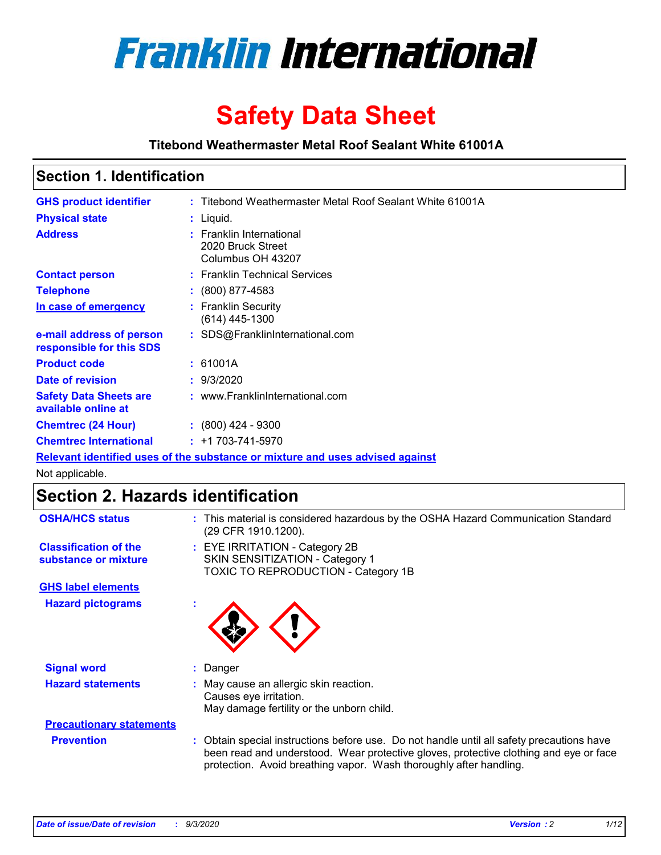

# **Safety Data Sheet**

**Titebond Weathermaster Metal Roof Sealant White 61001A**

## **Section 1. Identification**

| <b>GHS product identifier</b>                                                 |  | : Titebond Weathermaster Metal Roof Sealant White 61001A           |  |
|-------------------------------------------------------------------------------|--|--------------------------------------------------------------------|--|
| <b>Physical state</b>                                                         |  | : Liquid.                                                          |  |
| <b>Address</b>                                                                |  | : Franklin International<br>2020 Bruck Street<br>Columbus OH 43207 |  |
| <b>Contact person</b>                                                         |  | : Franklin Technical Services                                      |  |
| <b>Telephone</b>                                                              |  | $: (800) 877 - 4583$                                               |  |
| In case of emergency                                                          |  | : Franklin Security<br>(614) 445-1300                              |  |
| e-mail address of person<br>responsible for this SDS                          |  | : SDS@FranklinInternational.com                                    |  |
| <b>Product code</b>                                                           |  | : 61001A                                                           |  |
| Date of revision                                                              |  | : 9/3/2020                                                         |  |
| <b>Safety Data Sheets are</b><br>available online at                          |  | : www.FranklinInternational.com                                    |  |
| <b>Chemtrec (24 Hour)</b>                                                     |  | $\div$ (800) 424 - 9300                                            |  |
| <b>Chemtrec International</b>                                                 |  | $: +1703 - 741 - 5970$                                             |  |
| Relevant identified uses of the substance or mixture and uses advised against |  |                                                                    |  |

Not applicable.

# **Section 2. Hazards identification**

| <b>OSHA/HCS status</b>                               | : This material is considered hazardous by the OSHA Hazard Communication Standard<br>(29 CFR 1910.1200).                                                                                                                                                 |  |  |  |
|------------------------------------------------------|----------------------------------------------------------------------------------------------------------------------------------------------------------------------------------------------------------------------------------------------------------|--|--|--|
| <b>Classification of the</b><br>substance or mixture | : EYE IRRITATION - Category 2B<br>SKIN SENSITIZATION - Category 1<br>TOXIC TO REPRODUCTION - Category 1B                                                                                                                                                 |  |  |  |
| <b>GHS label elements</b>                            |                                                                                                                                                                                                                                                          |  |  |  |
| <b>Hazard pictograms</b>                             |                                                                                                                                                                                                                                                          |  |  |  |
| <b>Signal word</b>                                   | : Danger                                                                                                                                                                                                                                                 |  |  |  |
| <b>Hazard statements</b>                             | : May cause an allergic skin reaction.<br>Causes eye irritation.<br>May damage fertility or the unborn child.                                                                                                                                            |  |  |  |
| <b>Precautionary statements</b>                      |                                                                                                                                                                                                                                                          |  |  |  |
| <b>Prevention</b>                                    | : Obtain special instructions before use. Do not handle until all safety precautions have<br>been read and understood. Wear protective gloves, protective clothing and eye or face<br>protection. Avoid breathing vapor. Wash thoroughly after handling. |  |  |  |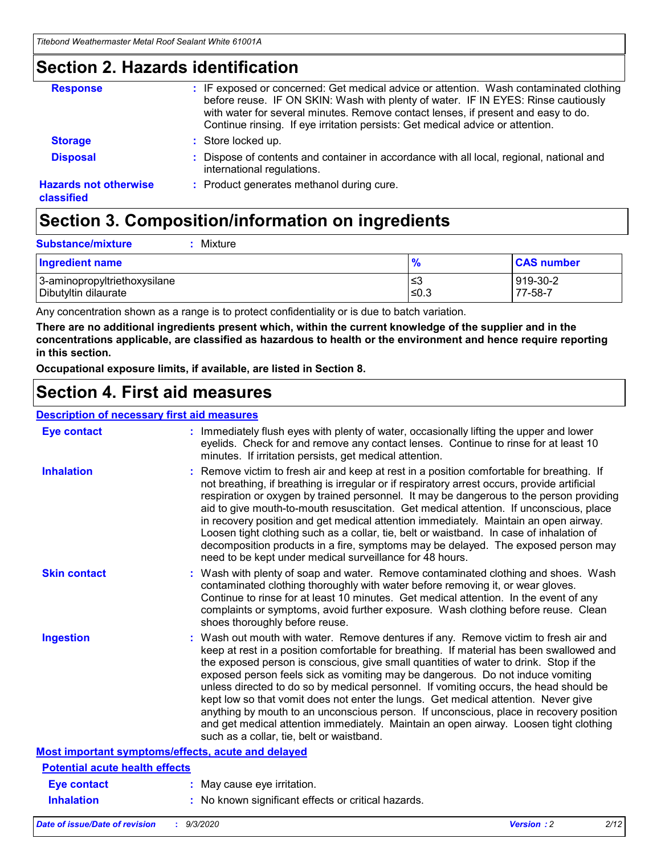## **Section 2. Hazards identification**

| <b>Response</b>                            | : IF exposed or concerned: Get medical advice or attention. Wash contaminated clothing<br>before reuse. IF ON SKIN: Wash with plenty of water. IF IN EYES: Rinse cautiously<br>with water for several minutes. Remove contact lenses, if present and easy to do.<br>Continue rinsing. If eye irritation persists: Get medical advice or attention. |
|--------------------------------------------|----------------------------------------------------------------------------------------------------------------------------------------------------------------------------------------------------------------------------------------------------------------------------------------------------------------------------------------------------|
| <b>Storage</b>                             | : Store locked up.                                                                                                                                                                                                                                                                                                                                 |
| <b>Disposal</b>                            | : Dispose of contents and container in accordance with all local, regional, national and<br>international regulations.                                                                                                                                                                                                                             |
| <b>Hazards not otherwise</b><br>classified | : Product generates methanol during cure.                                                                                                                                                                                                                                                                                                          |

# **Section 3. Composition/information on ingredients**

| <b>Substance/mixture</b> | : Mixture |
|--------------------------|-----------|
|                          |           |

| <b>Ingredient name</b>       | $\mathbf{0}$<br>70 | <b>CAS number</b> |
|------------------------------|--------------------|-------------------|
| 3-aminopropyltriethoxysilane | צ≥                 | 919-30-2          |
| Dibutyltin dilaurate         | ∣≤0.3              | 77-58-7           |

Any concentration shown as a range is to protect confidentiality or is due to batch variation.

**There are no additional ingredients present which, within the current knowledge of the supplier and in the concentrations applicable, are classified as hazardous to health or the environment and hence require reporting in this section.**

**Occupational exposure limits, if available, are listed in Section 8.**

## **Section 4. First aid measures**

| <b>Description of necessary first aid measures</b> |                                                                                                                                                                                                                                                                                                                                                                                                                                                                                                                                                                                                                                                                                                                                                                           |
|----------------------------------------------------|---------------------------------------------------------------------------------------------------------------------------------------------------------------------------------------------------------------------------------------------------------------------------------------------------------------------------------------------------------------------------------------------------------------------------------------------------------------------------------------------------------------------------------------------------------------------------------------------------------------------------------------------------------------------------------------------------------------------------------------------------------------------------|
| <b>Eye contact</b>                                 | : Immediately flush eyes with plenty of water, occasionally lifting the upper and lower<br>eyelids. Check for and remove any contact lenses. Continue to rinse for at least 10<br>minutes. If irritation persists, get medical attention.                                                                                                                                                                                                                                                                                                                                                                                                                                                                                                                                 |
| <b>Inhalation</b>                                  | : Remove victim to fresh air and keep at rest in a position comfortable for breathing. If<br>not breathing, if breathing is irregular or if respiratory arrest occurs, provide artificial<br>respiration or oxygen by trained personnel. It may be dangerous to the person providing<br>aid to give mouth-to-mouth resuscitation. Get medical attention. If unconscious, place<br>in recovery position and get medical attention immediately. Maintain an open airway.<br>Loosen tight clothing such as a collar, tie, belt or waistband. In case of inhalation of<br>decomposition products in a fire, symptoms may be delayed. The exposed person may<br>need to be kept under medical surveillance for 48 hours.                                                       |
| <b>Skin contact</b>                                | : Wash with plenty of soap and water. Remove contaminated clothing and shoes. Wash<br>contaminated clothing thoroughly with water before removing it, or wear gloves.<br>Continue to rinse for at least 10 minutes. Get medical attention. In the event of any<br>complaints or symptoms, avoid further exposure. Wash clothing before reuse. Clean<br>shoes thoroughly before reuse.                                                                                                                                                                                                                                                                                                                                                                                     |
| <b>Ingestion</b>                                   | : Wash out mouth with water. Remove dentures if any. Remove victim to fresh air and<br>keep at rest in a position comfortable for breathing. If material has been swallowed and<br>the exposed person is conscious, give small quantities of water to drink. Stop if the<br>exposed person feels sick as vomiting may be dangerous. Do not induce vomiting<br>unless directed to do so by medical personnel. If vomiting occurs, the head should be<br>kept low so that vomit does not enter the lungs. Get medical attention. Never give<br>anything by mouth to an unconscious person. If unconscious, place in recovery position<br>and get medical attention immediately. Maintain an open airway. Loosen tight clothing<br>such as a collar, tie, belt or waistband. |
| Most important symptoms/effects, acute and delayed |                                                                                                                                                                                                                                                                                                                                                                                                                                                                                                                                                                                                                                                                                                                                                                           |
| <b>Potential acute health effects</b>              |                                                                                                                                                                                                                                                                                                                                                                                                                                                                                                                                                                                                                                                                                                                                                                           |
| <b>Eye contact</b>                                 | : May cause eye irritation.                                                                                                                                                                                                                                                                                                                                                                                                                                                                                                                                                                                                                                                                                                                                               |
| <b>Inhalation</b>                                  | : No known significant effects or critical hazards.                                                                                                                                                                                                                                                                                                                                                                                                                                                                                                                                                                                                                                                                                                                       |
|                                                    |                                                                                                                                                                                                                                                                                                                                                                                                                                                                                                                                                                                                                                                                                                                                                                           |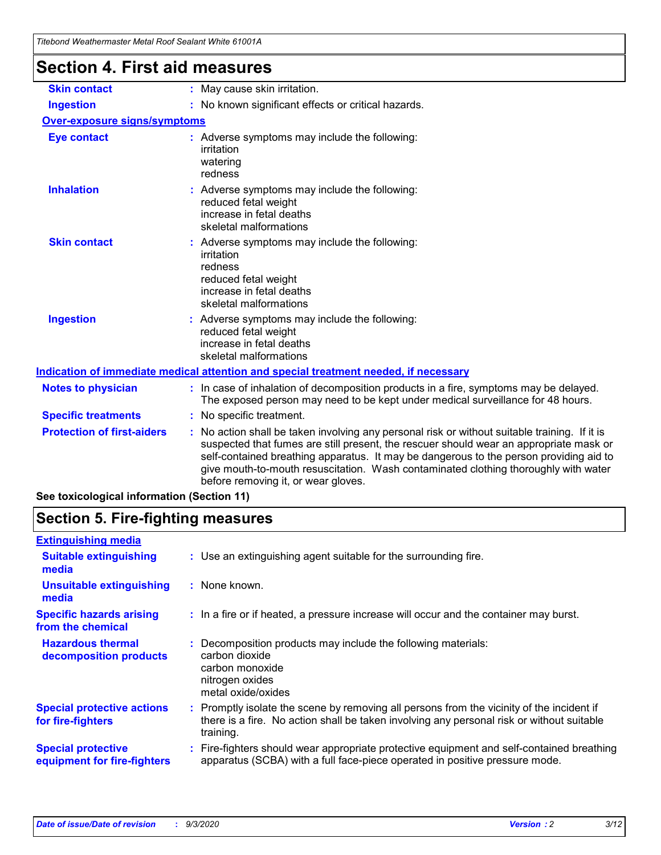| Tilebonu Wealtlennasier Melai Roof Sealahl Willie OTOOTA |                                                                                                                                                                                                                                                                                                                                                                                                                 |  |  |  |
|----------------------------------------------------------|-----------------------------------------------------------------------------------------------------------------------------------------------------------------------------------------------------------------------------------------------------------------------------------------------------------------------------------------------------------------------------------------------------------------|--|--|--|
| <b>Section 4. First aid measures</b>                     |                                                                                                                                                                                                                                                                                                                                                                                                                 |  |  |  |
| <b>Skin contact</b>                                      | : May cause skin irritation.                                                                                                                                                                                                                                                                                                                                                                                    |  |  |  |
| <b>Ingestion</b>                                         | : No known significant effects or critical hazards.                                                                                                                                                                                                                                                                                                                                                             |  |  |  |
| Over-exposure signs/symptoms                             |                                                                                                                                                                                                                                                                                                                                                                                                                 |  |  |  |
| <b>Eye contact</b>                                       | : Adverse symptoms may include the following:<br>irritation<br>watering<br>redness                                                                                                                                                                                                                                                                                                                              |  |  |  |
| <b>Inhalation</b>                                        | : Adverse symptoms may include the following:<br>reduced fetal weight<br>increase in fetal deaths<br>skeletal malformations                                                                                                                                                                                                                                                                                     |  |  |  |
| <b>Skin contact</b>                                      | : Adverse symptoms may include the following:<br>irritation<br>redness<br>reduced fetal weight<br>increase in fetal deaths<br>skeletal malformations                                                                                                                                                                                                                                                            |  |  |  |
| <b>Ingestion</b>                                         | : Adverse symptoms may include the following:<br>reduced fetal weight<br>increase in fetal deaths<br>skeletal malformations                                                                                                                                                                                                                                                                                     |  |  |  |
|                                                          | Indication of immediate medical attention and special treatment needed, if necessary                                                                                                                                                                                                                                                                                                                            |  |  |  |
| <b>Notes to physician</b>                                | : In case of inhalation of decomposition products in a fire, symptoms may be delayed.<br>The exposed person may need to be kept under medical surveillance for 48 hours.                                                                                                                                                                                                                                        |  |  |  |
| <b>Specific treatments</b>                               | : No specific treatment.                                                                                                                                                                                                                                                                                                                                                                                        |  |  |  |
| <b>Protection of first-aiders</b>                        | : No action shall be taken involving any personal risk or without suitable training. If it is<br>suspected that fumes are still present, the rescuer should wear an appropriate mask or<br>self-contained breathing apparatus. It may be dangerous to the person providing aid to<br>give mouth-to-mouth resuscitation. Wash contaminated clothing thoroughly with water<br>before removing it, or wear gloves. |  |  |  |
| See toxicological information (Section 11)               |                                                                                                                                                                                                                                                                                                                                                                                                                 |  |  |  |

# **Section 5. Fire-fighting measures**

| <b>Extinguishing media</b>                               |                                                                                                                                                                                                     |
|----------------------------------------------------------|-----------------------------------------------------------------------------------------------------------------------------------------------------------------------------------------------------|
| <b>Suitable extinguishing</b><br>media                   | : Use an extinguishing agent suitable for the surrounding fire.                                                                                                                                     |
| <b>Unsuitable extinguishing</b><br>media                 | : None known.                                                                                                                                                                                       |
| <b>Specific hazards arising</b><br>from the chemical     | : In a fire or if heated, a pressure increase will occur and the container may burst.                                                                                                               |
| <b>Hazardous thermal</b><br>decomposition products       | Decomposition products may include the following materials:<br>carbon dioxide<br>carbon monoxide<br>nitrogen oxides<br>metal oxide/oxides                                                           |
| <b>Special protective actions</b><br>for fire-fighters   | : Promptly isolate the scene by removing all persons from the vicinity of the incident if<br>there is a fire. No action shall be taken involving any personal risk or without suitable<br>training. |
| <b>Special protective</b><br>equipment for fire-fighters | : Fire-fighters should wear appropriate protective equipment and self-contained breathing<br>apparatus (SCBA) with a full face-piece operated in positive pressure mode.                            |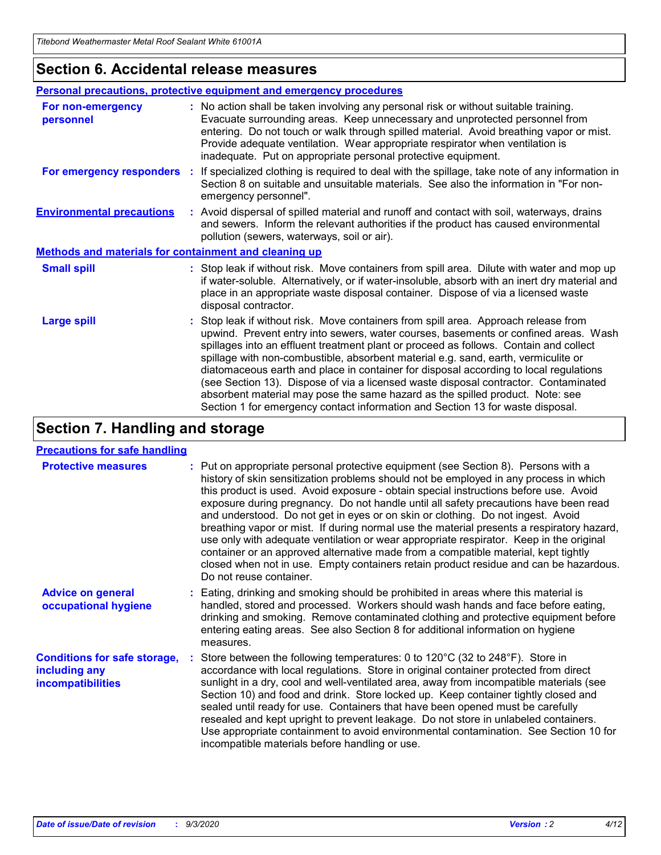### **Section 6. Accidental release measures**

|                                                              | <b>Personal precautions, protective equipment and emergency procedures</b>                                                                                                                                                                                                                                                                                                                                                                                                                                                                                                                                                                                                                                   |  |  |  |  |
|--------------------------------------------------------------|--------------------------------------------------------------------------------------------------------------------------------------------------------------------------------------------------------------------------------------------------------------------------------------------------------------------------------------------------------------------------------------------------------------------------------------------------------------------------------------------------------------------------------------------------------------------------------------------------------------------------------------------------------------------------------------------------------------|--|--|--|--|
| For non-emergency<br>personnel                               | : No action shall be taken involving any personal risk or without suitable training.<br>Evacuate surrounding areas. Keep unnecessary and unprotected personnel from<br>entering. Do not touch or walk through spilled material. Avoid breathing vapor or mist.<br>Provide adequate ventilation. Wear appropriate respirator when ventilation is<br>inadequate. Put on appropriate personal protective equipment.                                                                                                                                                                                                                                                                                             |  |  |  |  |
| For emergency responders                                     | : If specialized clothing is required to deal with the spillage, take note of any information in<br>Section 8 on suitable and unsuitable materials. See also the information in "For non-<br>emergency personnel".                                                                                                                                                                                                                                                                                                                                                                                                                                                                                           |  |  |  |  |
| <b>Environmental precautions</b>                             | : Avoid dispersal of spilled material and runoff and contact with soil, waterways, drains<br>and sewers. Inform the relevant authorities if the product has caused environmental<br>pollution (sewers, waterways, soil or air).                                                                                                                                                                                                                                                                                                                                                                                                                                                                              |  |  |  |  |
| <b>Methods and materials for containment and cleaning up</b> |                                                                                                                                                                                                                                                                                                                                                                                                                                                                                                                                                                                                                                                                                                              |  |  |  |  |
| <b>Small spill</b>                                           | : Stop leak if without risk. Move containers from spill area. Dilute with water and mop up<br>if water-soluble. Alternatively, or if water-insoluble, absorb with an inert dry material and<br>place in an appropriate waste disposal container. Dispose of via a licensed waste<br>disposal contractor.                                                                                                                                                                                                                                                                                                                                                                                                     |  |  |  |  |
| <b>Large spill</b>                                           | : Stop leak if without risk. Move containers from spill area. Approach release from<br>upwind. Prevent entry into sewers, water courses, basements or confined areas. Wash<br>spillages into an effluent treatment plant or proceed as follows. Contain and collect<br>spillage with non-combustible, absorbent material e.g. sand, earth, vermiculite or<br>diatomaceous earth and place in container for disposal according to local regulations<br>(see Section 13). Dispose of via a licensed waste disposal contractor. Contaminated<br>absorbent material may pose the same hazard as the spilled product. Note: see<br>Section 1 for emergency contact information and Section 13 for waste disposal. |  |  |  |  |

# **Section 7. Handling and storage**

### **Precautions for safe handling**

| <b>Protective measures</b>                                                       | : Put on appropriate personal protective equipment (see Section 8). Persons with a<br>history of skin sensitization problems should not be employed in any process in which<br>this product is used. Avoid exposure - obtain special instructions before use. Avoid<br>exposure during pregnancy. Do not handle until all safety precautions have been read<br>and understood. Do not get in eyes or on skin or clothing. Do not ingest. Avoid<br>breathing vapor or mist. If during normal use the material presents a respiratory hazard,<br>use only with adequate ventilation or wear appropriate respirator. Keep in the original<br>container or an approved alternative made from a compatible material, kept tightly<br>closed when not in use. Empty containers retain product residue and can be hazardous.<br>Do not reuse container. |
|----------------------------------------------------------------------------------|--------------------------------------------------------------------------------------------------------------------------------------------------------------------------------------------------------------------------------------------------------------------------------------------------------------------------------------------------------------------------------------------------------------------------------------------------------------------------------------------------------------------------------------------------------------------------------------------------------------------------------------------------------------------------------------------------------------------------------------------------------------------------------------------------------------------------------------------------|
| <b>Advice on general</b><br>occupational hygiene                                 | : Eating, drinking and smoking should be prohibited in areas where this material is<br>handled, stored and processed. Workers should wash hands and face before eating,<br>drinking and smoking. Remove contaminated clothing and protective equipment before<br>entering eating areas. See also Section 8 for additional information on hygiene<br>measures.                                                                                                                                                                                                                                                                                                                                                                                                                                                                                    |
| <b>Conditions for safe storage,</b><br>including any<br><i>incompatibilities</i> | Store between the following temperatures: 0 to 120°C (32 to 248°F). Store in<br>accordance with local regulations. Store in original container protected from direct<br>sunlight in a dry, cool and well-ventilated area, away from incompatible materials (see<br>Section 10) and food and drink. Store locked up. Keep container tightly closed and<br>sealed until ready for use. Containers that have been opened must be carefully<br>resealed and kept upright to prevent leakage. Do not store in unlabeled containers.<br>Use appropriate containment to avoid environmental contamination. See Section 10 for<br>incompatible materials before handling or use.                                                                                                                                                                         |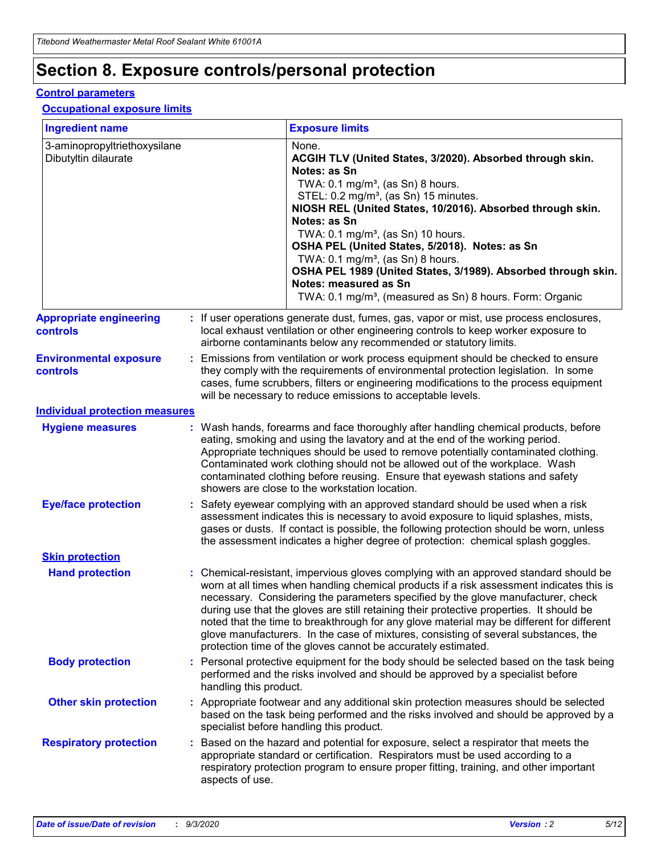# **Section 8. Exposure controls/personal protection**

### **Control parameters**

### **Occupational exposure limits**

| <b>Ingredient name</b>                               |    |                        | <b>Exposure limits</b>                                                                                                                                                                                                                                                                                                                                                                                                                                                                                                                                                                                                 |
|------------------------------------------------------|----|------------------------|------------------------------------------------------------------------------------------------------------------------------------------------------------------------------------------------------------------------------------------------------------------------------------------------------------------------------------------------------------------------------------------------------------------------------------------------------------------------------------------------------------------------------------------------------------------------------------------------------------------------|
| 3-aminopropyltriethoxysilane<br>Dibutyltin dilaurate |    |                        | None.<br>ACGIH TLV (United States, 3/2020). Absorbed through skin.<br>Notes: as Sn<br>TWA: $0.1 \text{ mg/m}^3$ , (as Sn) 8 hours.<br>STEL: 0.2 mg/m <sup>3</sup> , (as Sn) 15 minutes.<br>NIOSH REL (United States, 10/2016). Absorbed through skin.<br>Notes: as Sn<br>TWA: 0.1 mg/m <sup>3</sup> , (as Sn) 10 hours.<br>OSHA PEL (United States, 5/2018). Notes: as Sn<br>TWA: 0.1 mg/m <sup>3</sup> , (as Sn) 8 hours.<br>OSHA PEL 1989 (United States, 3/1989). Absorbed through skin.<br>Notes: measured as Sn<br>TWA: 0.1 mg/m <sup>3</sup> , (measured as Sn) 8 hours. Form: Organic                           |
| <b>Appropriate engineering</b><br>controls           |    |                        | : If user operations generate dust, fumes, gas, vapor or mist, use process enclosures,<br>local exhaust ventilation or other engineering controls to keep worker exposure to<br>airborne contaminants below any recommended or statutory limits.                                                                                                                                                                                                                                                                                                                                                                       |
| <b>Environmental exposure</b><br>controls            |    |                        | Emissions from ventilation or work process equipment should be checked to ensure<br>they comply with the requirements of environmental protection legislation. In some<br>cases, fume scrubbers, filters or engineering modifications to the process equipment<br>will be necessary to reduce emissions to acceptable levels.                                                                                                                                                                                                                                                                                          |
| <b>Individual protection measures</b>                |    |                        |                                                                                                                                                                                                                                                                                                                                                                                                                                                                                                                                                                                                                        |
| <b>Hygiene measures</b>                              |    |                        | : Wash hands, forearms and face thoroughly after handling chemical products, before<br>eating, smoking and using the lavatory and at the end of the working period.<br>Appropriate techniques should be used to remove potentially contaminated clothing.<br>Contaminated work clothing should not be allowed out of the workplace. Wash<br>contaminated clothing before reusing. Ensure that eyewash stations and safety<br>showers are close to the workstation location.                                                                                                                                            |
| <b>Eye/face protection</b>                           |    |                        | Safety eyewear complying with an approved standard should be used when a risk<br>assessment indicates this is necessary to avoid exposure to liquid splashes, mists,<br>gases or dusts. If contact is possible, the following protection should be worn, unless<br>the assessment indicates a higher degree of protection: chemical splash goggles.                                                                                                                                                                                                                                                                    |
| <b>Skin protection</b>                               |    |                        |                                                                                                                                                                                                                                                                                                                                                                                                                                                                                                                                                                                                                        |
| <b>Hand protection</b>                               |    |                        | : Chemical-resistant, impervious gloves complying with an approved standard should be<br>worn at all times when handling chemical products if a risk assessment indicates this is<br>necessary. Considering the parameters specified by the glove manufacturer, check<br>during use that the gloves are still retaining their protective properties. It should be<br>noted that the time to breakthrough for any glove material may be different for different<br>glove manufacturers. In the case of mixtures, consisting of several substances, the<br>protection time of the gloves cannot be accurately estimated. |
| <b>Body protection</b>                               |    | handling this product. | Personal protective equipment for the body should be selected based on the task being<br>performed and the risks involved and should be approved by a specialist before                                                                                                                                                                                                                                                                                                                                                                                                                                                |
| <b>Other skin protection</b>                         |    |                        | : Appropriate footwear and any additional skin protection measures should be selected<br>based on the task being performed and the risks involved and should be approved by a<br>specialist before handling this product.                                                                                                                                                                                                                                                                                                                                                                                              |
| <b>Respiratory protection</b>                        | ÷. | aspects of use.        | Based on the hazard and potential for exposure, select a respirator that meets the<br>appropriate standard or certification. Respirators must be used according to a<br>respiratory protection program to ensure proper fitting, training, and other important                                                                                                                                                                                                                                                                                                                                                         |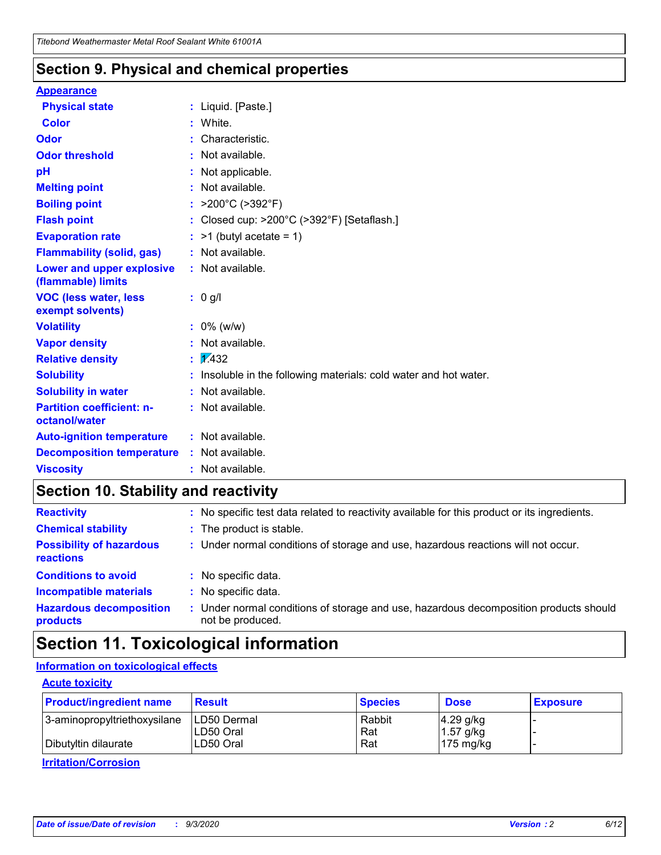### **Section 9. Physical and chemical properties**

### **Appearance**

| <b>Physical state</b>                                  | : Liquid. [Paste.]                                              |
|--------------------------------------------------------|-----------------------------------------------------------------|
| Color                                                  | White.                                                          |
| Odor                                                   | Characteristic.                                                 |
| <b>Odor threshold</b>                                  | Not available.                                                  |
| pH                                                     | Not applicable.                                                 |
| <b>Melting point</b>                                   | Not available.                                                  |
| <b>Boiling point</b>                                   | : $>200^{\circ}$ C ( $>392^{\circ}$ F)                          |
| <b>Flash point</b>                                     | Closed cup: >200°C (>392°F) [Setaflash.]                        |
| <b>Evaporation rate</b>                                | $:$ >1 (butyl acetate = 1)                                      |
| <b>Flammability (solid, gas)</b>                       | : Not available.                                                |
| <b>Lower and upper explosive</b><br>(flammable) limits | : Not available.                                                |
| <b>VOC (less water, less)</b><br>exempt solvents)      | $: 0$ g/l                                                       |
| <b>Volatility</b>                                      | $: 0\%$ (w/w)                                                   |
| <b>Vapor density</b>                                   | Not available.                                                  |
| <b>Relative density</b>                                | $\frac{1}{2}$ 2.432                                             |
| <b>Solubility</b>                                      | Insoluble in the following materials: cold water and hot water. |
| <b>Solubility in water</b>                             | Not available.                                                  |
| <b>Partition coefficient: n-</b><br>octanol/water      | : Not available.                                                |
| <b>Auto-ignition temperature</b>                       | : Not available.                                                |
| <b>Decomposition temperature</b>                       | : Not available.                                                |
| <b>Viscosity</b>                                       | : Not available.                                                |

# **Section 10. Stability and reactivity**

| <b>Reactivity</b>                            |    | : No specific test data related to reactivity available for this product or its ingredients.            |
|----------------------------------------------|----|---------------------------------------------------------------------------------------------------------|
| <b>Chemical stability</b>                    |    | : The product is stable.                                                                                |
| <b>Possibility of hazardous</b><br>reactions |    | : Under normal conditions of storage and use, hazardous reactions will not occur.                       |
| <b>Conditions to avoid</b>                   |    | : No specific data.                                                                                     |
| <b>Incompatible materials</b>                | ٠. | No specific data.                                                                                       |
| <b>Hazardous decomposition</b><br>products   | ÷. | Under normal conditions of storage and use, hazardous decomposition products should<br>not be produced. |

# **Section 11. Toxicological information**

### **Information on toxicological effects**

### **Acute toxicity**

| <b>Product/ingredient name</b> | <b>Result</b>           | <b>Species</b> | <b>Dose</b>                | <b>Exposure</b> |
|--------------------------------|-------------------------|----------------|----------------------------|-----------------|
| 3-aminopropyltriethoxysilane   | <b>ILD50 Dermal</b>     | Rabbit         | 4.29 g/kg                  |                 |
| Dibutyltin dilaurate           | ILD50 Oral<br>LD50 Oral | Rat<br>Rat     | $1.57$ g/kg<br>175 $mg/kg$ |                 |
|                                |                         |                |                            |                 |

**Irritation/Corrosion**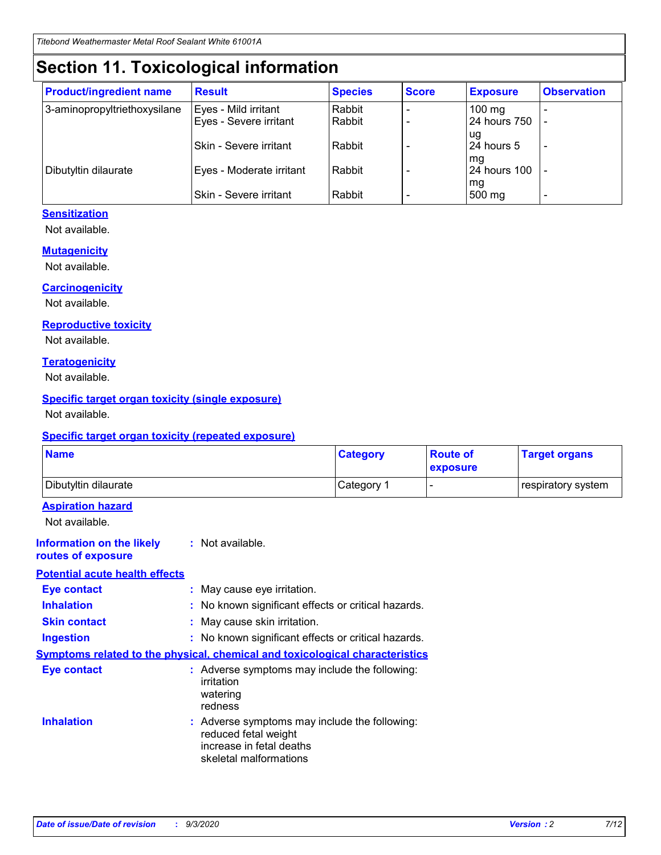# **Section 11. Toxicological information**

| <b>Product/ingredient name</b> | <b>Result</b>                 | <b>Species</b> | <b>Score</b> | <b>Exposure</b>    | <b>Observation</b>       |
|--------------------------------|-------------------------------|----------------|--------------|--------------------|--------------------------|
| 3-aminopropyltriethoxysilane   | Eyes - Mild irritant          | Rabbit         |              | $100 \text{ mg}$   |                          |
|                                | Eyes - Severe irritant        | Rabbit         |              | 24 hours 750       |                          |
|                                |                               |                |              | ug                 |                          |
|                                | <b>Skin - Severe irritant</b> | Rabbit         |              | 24 hours 5         | $\overline{\phantom{a}}$ |
| Dibutyltin dilaurate           | Eyes - Moderate irritant      | Rabbit         |              | mg<br>24 hours 100 |                          |
|                                |                               |                |              | mg                 |                          |
|                                | Skin - Severe irritant        | Rabbit         |              | 500 mg             | -                        |

### **Sensitization**

Not available.

### **Mutagenicity**

Not available.

### **Carcinogenicity**

Not available.

### **Reproductive toxicity**

Not available.

### **Teratogenicity**

Not available.

### **Specific target organ toxicity (single exposure)**

Not available.

### **Specific target organ toxicity (repeated exposure)**

| <b>Name</b>                                                                         |                                                                            | <b>Category</b>                                     | <b>Route of</b><br>exposure | <b>Target organs</b> |
|-------------------------------------------------------------------------------------|----------------------------------------------------------------------------|-----------------------------------------------------|-----------------------------|----------------------|
| Dibutyltin dilaurate                                                                |                                                                            | Category 1                                          | -                           | respiratory system   |
| <b>Aspiration hazard</b><br>Not available.                                          |                                                                            |                                                     |                             |                      |
| <b>Information on the likely</b><br>routes of exposure                              | : Not available.                                                           |                                                     |                             |                      |
| <b>Potential acute health effects</b>                                               |                                                                            |                                                     |                             |                      |
| <b>Eye contact</b>                                                                  | : May cause eye irritation.                                                |                                                     |                             |                      |
| <b>Inhalation</b>                                                                   |                                                                            | : No known significant effects or critical hazards. |                             |                      |
| <b>Skin contact</b>                                                                 | : May cause skin irritation.                                               |                                                     |                             |                      |
| <b>Ingestion</b>                                                                    |                                                                            | : No known significant effects or critical hazards. |                             |                      |
| <b>Symptoms related to the physical, chemical and toxicological characteristics</b> |                                                                            |                                                     |                             |                      |
| <b>Eye contact</b>                                                                  | irritation<br>watering<br>redness                                          | : Adverse symptoms may include the following:       |                             |                      |
| <b>Inhalation</b>                                                                   | reduced fetal weight<br>increase in fetal deaths<br>skeletal malformations | : Adverse symptoms may include the following:       |                             |                      |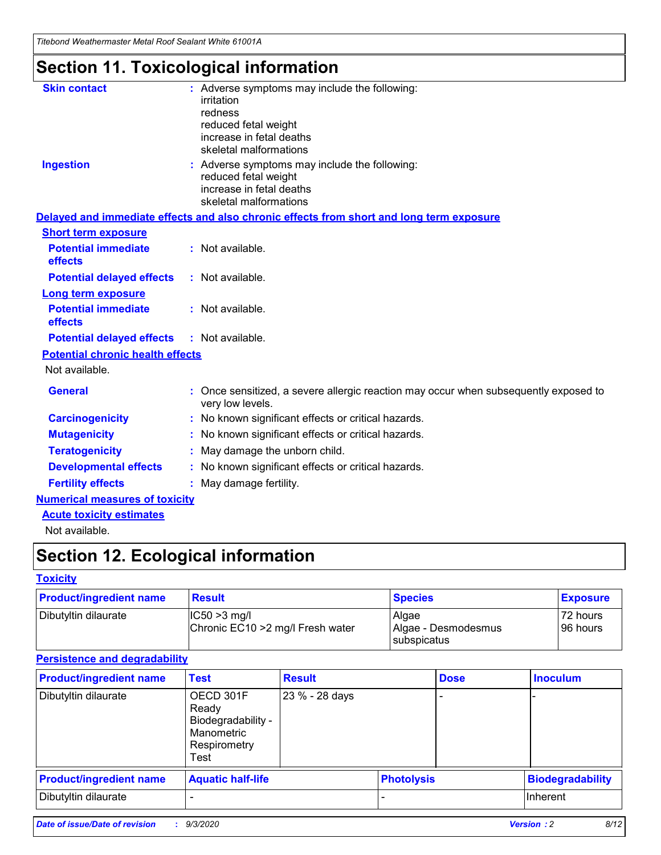*Titebond Weathermaster Metal Roof Sealant White 61001A*

# **Section 11. Toxicological information**

| <b>Skin contact</b>                     | : Adverse symptoms may include the following:<br>irritation                                            |
|-----------------------------------------|--------------------------------------------------------------------------------------------------------|
|                                         | redness                                                                                                |
|                                         | reduced fetal weight                                                                                   |
|                                         | increase in fetal deaths                                                                               |
|                                         | skeletal malformations                                                                                 |
| <b>Ingestion</b>                        | : Adverse symptoms may include the following:<br>reduced fetal weight                                  |
|                                         | increase in fetal deaths                                                                               |
|                                         | skeletal malformations                                                                                 |
|                                         | Delayed and immediate effects and also chronic effects from short and long term exposure               |
| <b>Short term exposure</b>              |                                                                                                        |
| <b>Potential immediate</b><br>effects   | : Not available.                                                                                       |
| <b>Potential delayed effects</b>        | : Not available.                                                                                       |
| <b>Long term exposure</b>               |                                                                                                        |
| <b>Potential immediate</b><br>effects   | : Not available.                                                                                       |
| <b>Potential delayed effects</b>        | : Not available.                                                                                       |
| <b>Potential chronic health effects</b> |                                                                                                        |
| Not available.                          |                                                                                                        |
| <b>General</b>                          | Once sensitized, a severe allergic reaction may occur when subsequently exposed to<br>very low levels. |
| <b>Carcinogenicity</b>                  | No known significant effects or critical hazards.                                                      |
| <b>Mutagenicity</b>                     | : No known significant effects or critical hazards.                                                    |
| <b>Teratogenicity</b>                   | May damage the unborn child.                                                                           |
| <b>Developmental effects</b>            | : No known significant effects or critical hazards.                                                    |
| <b>Fertility effects</b>                | : May damage fertility.                                                                                |
| <b>Numerical measures of toxicity</b>   |                                                                                                        |
| <b>Acute toxicity estimates</b>         |                                                                                                        |
| Not ovoilable                           |                                                                                                        |

Not available.

# **Section 12. Ecological information**

### **Toxicity**

| <b>Product/ingredient name</b> | <b>Result</b>                                       | <b>Species</b>               | <b>Exposure</b>       |
|--------------------------------|-----------------------------------------------------|------------------------------|-----------------------|
| Dibutyltin dilaurate           | $ CC50>3$ mg/l<br>Chronic EC10 > 2 mg/l Fresh water | Algae<br>Algae - Desmodesmus | 72 hours<br>196 hours |
|                                |                                                     | <b>I</b> subspicatus         |                       |

### **Persistence and degradability**

| <b>Product/ingredient name</b> | <b>Test</b>                                                                    | <b>Result</b>  |                   | <b>Dose</b> | <b>Inoculum</b>         |
|--------------------------------|--------------------------------------------------------------------------------|----------------|-------------------|-------------|-------------------------|
| Dibutyltin dilaurate           | OECD 301F<br>Ready<br>Biodegradability -<br>Manometric<br>Respirometry<br>Test | 23 % - 28 days |                   |             |                         |
| <b>Product/ingredient name</b> | <b>Aquatic half-life</b>                                                       |                | <b>Photolysis</b> |             | <b>Biodegradability</b> |
| Dibutyltin dilaurate           |                                                                                |                |                   |             | <b>Inherent</b>         |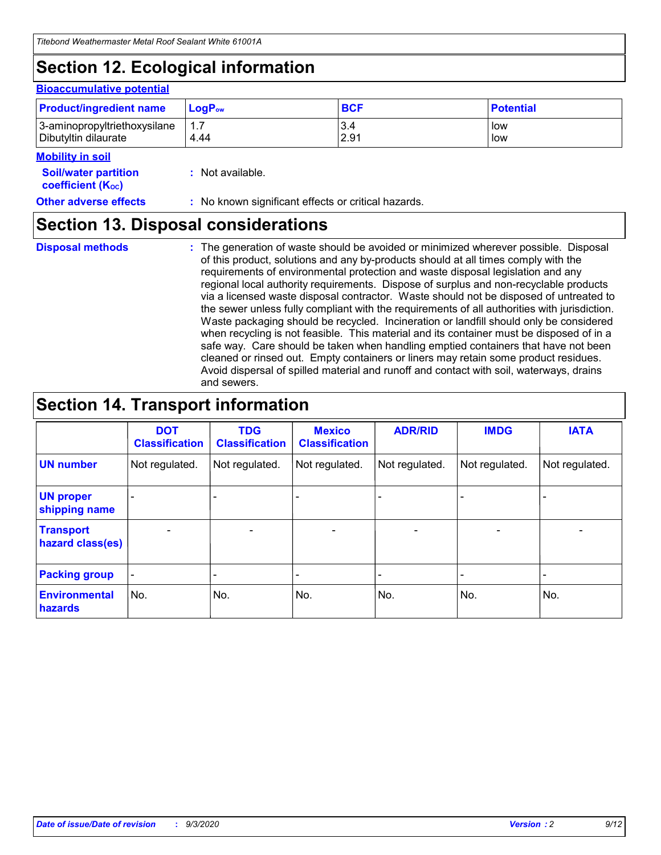# **Section 12. Ecological information**

### **Bioaccumulative potential**

| <b>Product/ingredient name</b> | $\mathsf{LogP}_\mathsf{ow}$ | <b>BCF</b> | <b>Potential</b> |
|--------------------------------|-----------------------------|------------|------------------|
| 3-aminopropyltriethoxysilane   | 1.7                         | 3.4        | low              |
| Dibutyltin dilaurate           | 4.44                        | 2.91       | low              |

#### **Mobility in soil**

| <b>Soil/water partition</b> | : Not available. |
|-----------------------------|------------------|
| <b>coefficient (Koc)</b>    |                  |

## **Section 13. Disposal considerations**

**Disposal methods :**

The generation of waste should be avoided or minimized wherever possible. Disposal of this product, solutions and any by-products should at all times comply with the requirements of environmental protection and waste disposal legislation and any regional local authority requirements. Dispose of surplus and non-recyclable products via a licensed waste disposal contractor. Waste should not be disposed of untreated to the sewer unless fully compliant with the requirements of all authorities with jurisdiction. Waste packaging should be recycled. Incineration or landfill should only be considered when recycling is not feasible. This material and its container must be disposed of in a safe way. Care should be taken when handling emptied containers that have not been cleaned or rinsed out. Empty containers or liners may retain some product residues. Avoid dispersal of spilled material and runoff and contact with soil, waterways, drains and sewers.

## **Section 14. Transport information**

|                                      | <b>DOT</b><br><b>Classification</b> | <b>TDG</b><br><b>Classification</b> | <b>Mexico</b><br><b>Classification</b> | <b>ADR/RID</b>           | <b>IMDG</b>              | <b>IATA</b>    |
|--------------------------------------|-------------------------------------|-------------------------------------|----------------------------------------|--------------------------|--------------------------|----------------|
| <b>UN number</b>                     | Not regulated.                      | Not regulated.                      | Not regulated.                         | Not regulated.           | Not regulated.           | Not regulated. |
| <b>UN proper</b><br>shipping name    |                                     |                                     |                                        |                          |                          |                |
| <b>Transport</b><br>hazard class(es) |                                     | $\overline{\phantom{0}}$            | $\qquad \qquad \blacksquare$           | $\overline{\phantom{0}}$ | $\overline{\phantom{0}}$ |                |
| <b>Packing group</b>                 |                                     |                                     |                                        |                          |                          |                |
| <b>Environmental</b><br>hazards      | No.                                 | No.                                 | No.                                    | No.                      | No.                      | No.            |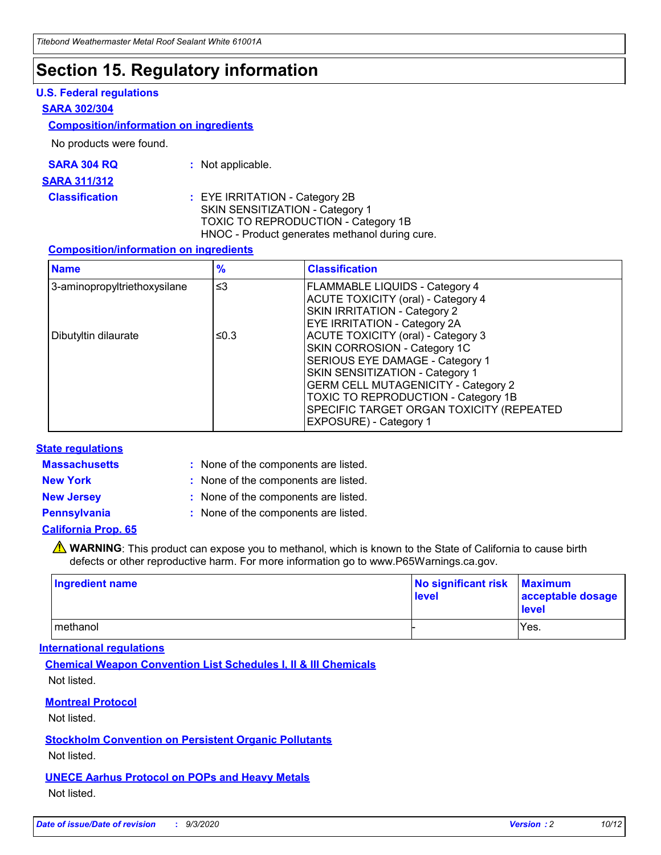## **Section 15. Regulatory information**

### **U.S. Federal regulations**

### **SARA 302/304**

### **Composition/information on ingredients**

No products were found.

| SARA 304 RQ | Not applicable. |
|-------------|-----------------|
|-------------|-----------------|

#### **SARA 311/312**

**Classification :** EYE IRRITATION - Category 2B SKIN SENSITIZATION - Category 1 TOXIC TO REPRODUCTION - Category 1B HNOC - Product generates methanol during cure.

### **Composition/information on ingredients**

| <b>Name</b>                  | $\frac{9}{6}$ | <b>Classification</b>                                                                                                                                                                                                                                                                                      |
|------------------------------|---------------|------------------------------------------------------------------------------------------------------------------------------------------------------------------------------------------------------------------------------------------------------------------------------------------------------------|
| 3-aminopropyltriethoxysilane | $\leq$ 3      | <b>FLAMMABLE LIQUIDS - Category 4</b><br><b>ACUTE TOXICITY (oral) - Category 4</b><br><b>SKIN IRRITATION - Category 2</b><br>EYE IRRITATION - Category 2A                                                                                                                                                  |
| Dibutyltin dilaurate         | ≤0.3          | <b>ACUTE TOXICITY (oral) - Category 3</b><br>SKIN CORROSION - Category 1C<br>SERIOUS EYE DAMAGE - Category 1<br>SKIN SENSITIZATION - Category 1<br><b>GERM CELL MUTAGENICITY - Category 2</b><br>TOXIC TO REPRODUCTION - Category 1B<br>SPECIFIC TARGET ORGAN TOXICITY (REPEATED<br>EXPOSURE) - Category 1 |

### **State regulations**

**Massachusetts :**

: None of the components are listed.

**New York :** None of the components are listed. **New Jersey :** None of the components are listed.

**Pennsylvania :** None of the components are listed.

### **California Prop. 65**

WARNING: This product can expose you to methanol, which is known to the State of California to cause birth defects or other reproductive harm. For more information go to www.P65Warnings.ca.gov.

| Ingredient name | No significant risk Maximum<br>level | acceptable dosage<br><b>level</b> |
|-----------------|--------------------------------------|-----------------------------------|
| I methanol      |                                      | Yes.                              |

### **International regulations**

**Chemical Weapon Convention List Schedules I, II & III Chemicals** Not listed.

**Montreal Protocol**

Not listed.

**Stockholm Convention on Persistent Organic Pollutants**

Not listed.

**UNECE Aarhus Protocol on POPs and Heavy Metals** Not listed.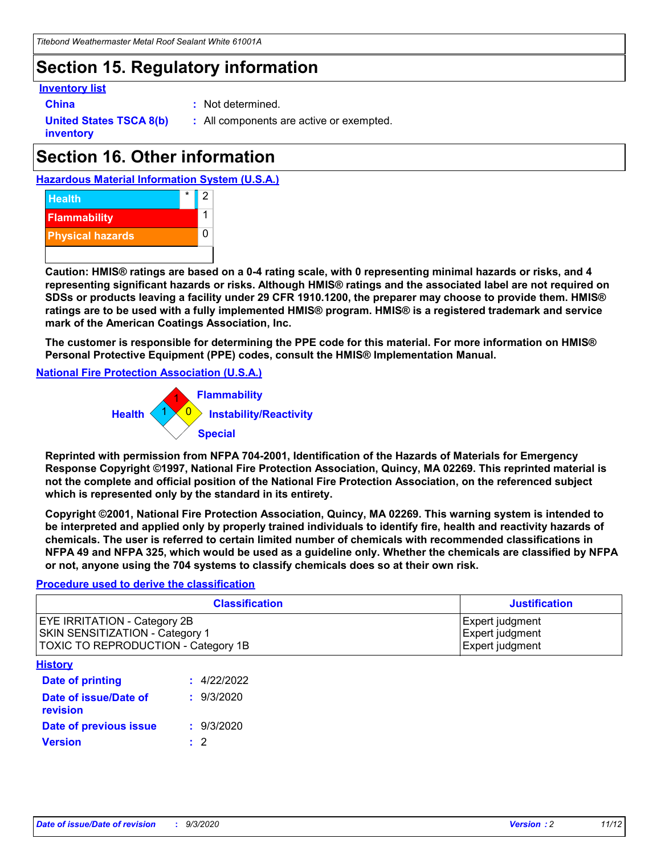# **Section 15. Regulatory information**

### **Inventory list**

- 
- **China :** Not determined.

**United States TSCA 8(b) inventory**

**:** All components are active or exempted.

# **Section 16. Other information**

**Hazardous Material Information System (U.S.A.)**



**Caution: HMIS® ratings are based on a 0-4 rating scale, with 0 representing minimal hazards or risks, and 4 representing significant hazards or risks. Although HMIS® ratings and the associated label are not required on SDSs or products leaving a facility under 29 CFR 1910.1200, the preparer may choose to provide them. HMIS® ratings are to be used with a fully implemented HMIS® program. HMIS® is a registered trademark and service mark of the American Coatings Association, Inc.**

**The customer is responsible for determining the PPE code for this material. For more information on HMIS® Personal Protective Equipment (PPE) codes, consult the HMIS® Implementation Manual.**

**National Fire Protection Association (U.S.A.)**



**Reprinted with permission from NFPA 704-2001, Identification of the Hazards of Materials for Emergency Response Copyright ©1997, National Fire Protection Association, Quincy, MA 02269. This reprinted material is not the complete and official position of the National Fire Protection Association, on the referenced subject which is represented only by the standard in its entirety.**

**Copyright ©2001, National Fire Protection Association, Quincy, MA 02269. This warning system is intended to be interpreted and applied only by properly trained individuals to identify fire, health and reactivity hazards of chemicals. The user is referred to certain limited number of chemicals with recommended classifications in NFPA 49 and NFPA 325, which would be used as a guideline only. Whether the chemicals are classified by NFPA or not, anyone using the 704 systems to classify chemicals does so at their own risk.**

### **Procedure used to derive the classification**

| <b>Classification</b>                                                                                         | <b>Justification</b>                                  |
|---------------------------------------------------------------------------------------------------------------|-------------------------------------------------------|
| <b>EYE IRRITATION - Category 2B</b><br>SKIN SENSITIZATION - Category 1<br>TOXIC TO REPRODUCTION - Category 1B | Expert judgment<br>Expert judgment<br>Expert judgment |
| <b>History</b>                                                                                                |                                                       |

| .                                 |             |
|-----------------------------------|-------------|
| <b>Date of printing</b>           | : 4/22/2022 |
| Date of issue/Date of<br>revision | : 9/3/2020  |
| Date of previous issue            | : 9/3/2020  |
| <b>Version</b>                    | $\cdot$ 2   |
|                                   |             |